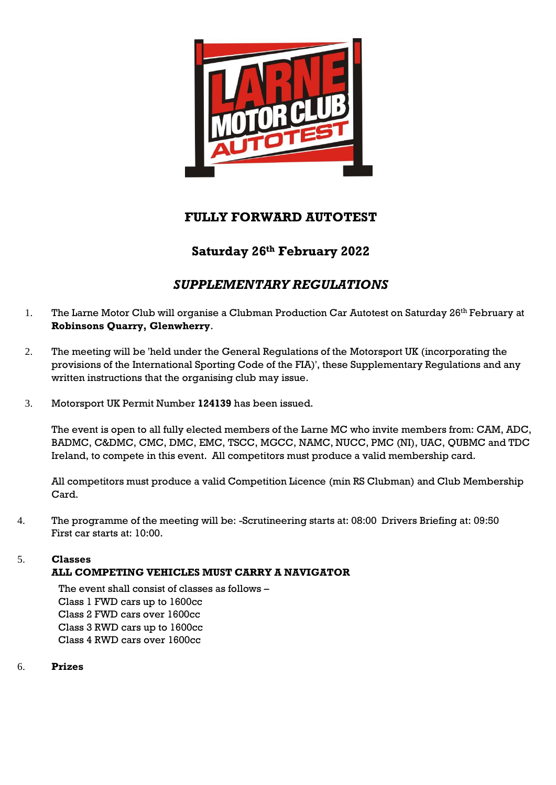

# **FULLY FORWARD AUTOTEST**

## **Saturday 26th February 2022**

# *SUPPLEMENTARY REGULATIONS*

- 1. The Larne Motor Club will organise a Clubman Production Car Autotest on Saturday 26<sup>th</sup> February at **Robinsons Quarry, Glenwherry**.
- 2. The meeting will be 'held under the General Regulations of the Motorsport UK (incorporating the provisions of the International Sporting Code of the FIA)', these Supplementary Regulations and any written instructions that the organising club may issue.
- 3. Motorsport UK Permit Number **124139** has been issued.

The event is open to all fully elected members of the Larne MC who invite members from: CAM, ADC, BADMC, C&DMC, CMC, DMC, EMC, TSCC, MGCC, NAMC, NUCC, PMC (NI), UAC, QUBMC and TDC Ireland, to compete in this event. All competitors must produce a valid membership card.

All competitors must produce a valid Competition Licence (min RS Clubman) and Club Membership Card.

4. The programme of the meeting will be: -Scrutineering starts at: 08:00 Drivers Briefing at: 09:50 First car starts at: 10:00.

### 5. **Classes**

### **ALL COMPETING VEHICLES MUST CARRY A NAVIGATOR**

The event shall consist of classes as follows – Class 1 FWD cars up to 1600cc Class 2 FWD cars over 1600cc Class 3 RWD cars up to 1600cc Class 4 RWD cars over 1600cc

6. **Prizes**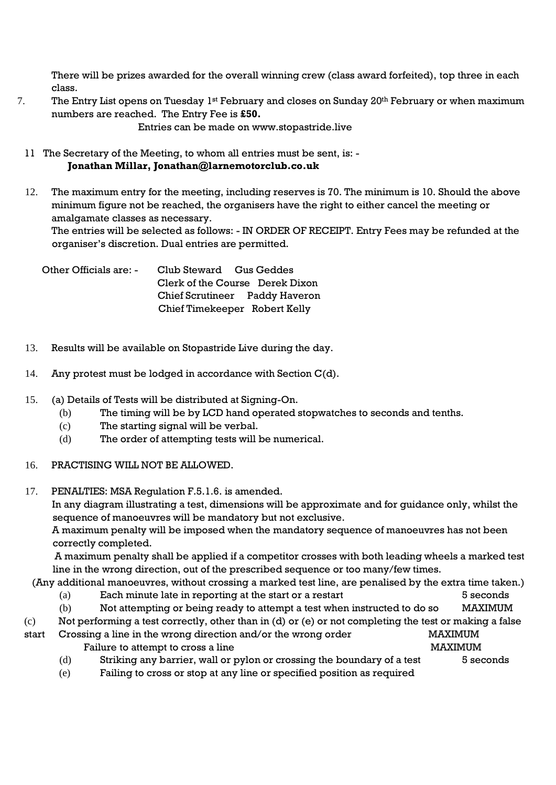There will be prizes awarded for the overall winning crew (class award forfeited), top three in each class.

7. The Entry List opens on Tuesday 1<sup>st</sup> February and closes on Sunday 20<sup>th</sup> February or when maximum numbers are reached. The Entry Fee is **£50.**

Entries can be made on www.stopastride.live

- 11 The Secretary of the Meeting, to whom all entries must be sent, is:  **Jonathan Millar, Jonathan@larnemotorclub.co.uk**
- 12. The maximum entry for the meeting, including reserves is 70. The minimum is 10. Should the above minimum figure not be reached, the organisers have the right to either cancel the meeting or amalgamate classes as necessary.

The entries will be selected as follows: - IN ORDER OF RECEIPT. Entry Fees may be refunded at the organiser's discretion. Dual entries are permitted.

Other Officials are: - Club Steward Gus Geddes Clerk of the Course Derek Dixon Chief Scrutineer Paddy Haveron Chief Timekeeper Robert Kelly

- 13. Results will be available on Stopastride Live during the day.
- 14. Any protest must be lodged in accordance with Section C(d).
- 15. (a) Details of Tests will be distributed at Signing-On.
	- (b) The timing will be by LCD hand operated stopwatches to seconds and tenths.
	- (c) The starting signal will be verbal.
	- (d) The order of attempting tests will be numerical.
- 16. PRACTISING WILL NOT BE ALLOWED.
- 17. PENALTIES: MSA Regulation F.5.1.6. is amended. In any diagram illustrating a test, dimensions will be approximate and for guidance only, whilst the sequence of manoeuvres will be mandatory but not exclusive. A maximum penalty will be imposed when the mandatory sequence of manoeuvres has not been correctly completed.

A maximum penalty shall be applied if a competitor crosses with both leading wheels a marked test line in the wrong direction, out of the prescribed sequence or too many/few times.

- (Any additional manoeuvres, without crossing a marked test line, are penalised by the extra time taken.)
	- (a) Each minute late in reporting at the start or a restart 5 seconds
	- (b) Not attempting or being ready to attempt a test when instructed to do so MAXIMUM
- (c) Not performing a test correctly, other than in (d) or (e) or not completing the test or making a false
- start Crossing a line in the wrong direction and/or the wrong order MAXIMUM Failure to attempt to cross a line MAXIMUM
	- (d) Striking any barrier, wall or pylon or crossing the boundary of a test 5 seconds
	- (e) Failing to cross or stop at any line or specified position as required